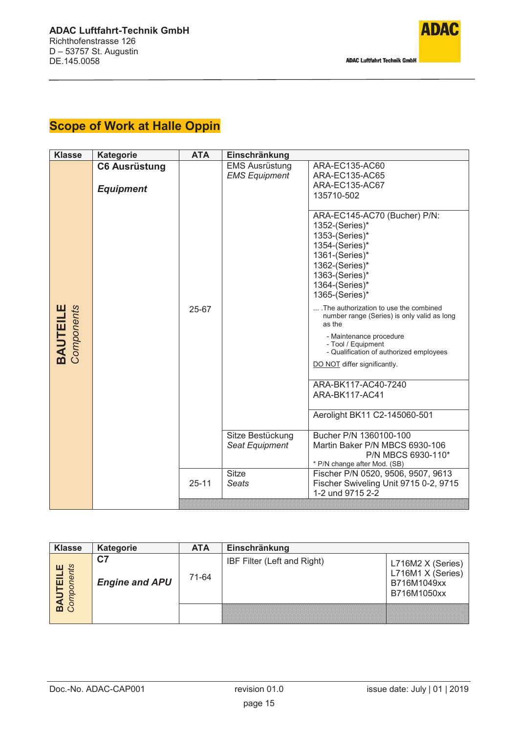

## **Scope of Work at Halle Oppin**

| <b>Klasse</b>                 | <b>Kategorie</b>                         | <b>ATA</b> | Einschränkung                                 |                                                                                                                                                                                                                        |  |
|-------------------------------|------------------------------------------|------------|-----------------------------------------------|------------------------------------------------------------------------------------------------------------------------------------------------------------------------------------------------------------------------|--|
|                               | <b>C6 Ausrüstung</b><br><b>Equipment</b> |            | <b>EMS Ausrüstung</b><br><b>EMS Equipment</b> | ARA-EC135-AC60<br>ARA-EC135-AC65<br>ARA-EC135-AC67<br>135710-502                                                                                                                                                       |  |
|                               |                                          |            |                                               | ARA-EC145-AC70 (Bucher) P/N:<br>1352-(Series)*<br>1353-(Series)*<br>1354-(Series)*<br>1361-(Series)*<br>1362-(Series)*<br>1363-(Series)*<br>1364-(Series)*<br>1365-(Series)*<br>.The authorization to use the combined |  |
| <b>BAUTEILE</b><br>Components |                                          | 25-67      |                                               | number range (Series) is only valid as long<br>as the<br>- Maintenance procedure<br>- Tool / Equipment<br>- Qualification of authorized employees<br>DO NOT differ significantly.                                      |  |
|                               |                                          |            |                                               | ARA-BK117-AC40-7240<br>ARA-BK117-AC41                                                                                                                                                                                  |  |
|                               |                                          |            |                                               | Aerolight BK11 C2-145060-501                                                                                                                                                                                           |  |
|                               |                                          |            | Sitze Bestückung<br>Seat Equipment            | Bucher P/N 1360100-100<br>Martin Baker P/N MBCS 6930-106<br>P/N MBCS 6930-110*<br>* P/N change after Mod. (SB)                                                                                                         |  |
|                               |                                          | $25 - 11$  | <b>Sitze</b><br>Seats                         | Fischer P/N 0520, 9506, 9507, 9613<br>Fischer Swiveling Unit 9715 0-2, 9715<br>1-2 und 9715 2-2                                                                                                                        |  |
|                               |                                          |            |                                               |                                                                                                                                                                                                                        |  |

| <b>Klasse</b>                 | <b>Kategorie</b>                        | <b>ATA</b> | Einschränkung               |                                                                      |
|-------------------------------|-----------------------------------------|------------|-----------------------------|----------------------------------------------------------------------|
| <b>BAUTEILE</b><br>Components | C <sub>7</sub><br><b>Engine and APU</b> | 71-64      | IBF Filter (Left and Right) | L716M2 X (Series)<br>L716M1 X (Series)<br>B716M1049xx<br>B716M1050xx |
|                               |                                         |            |                             |                                                                      |